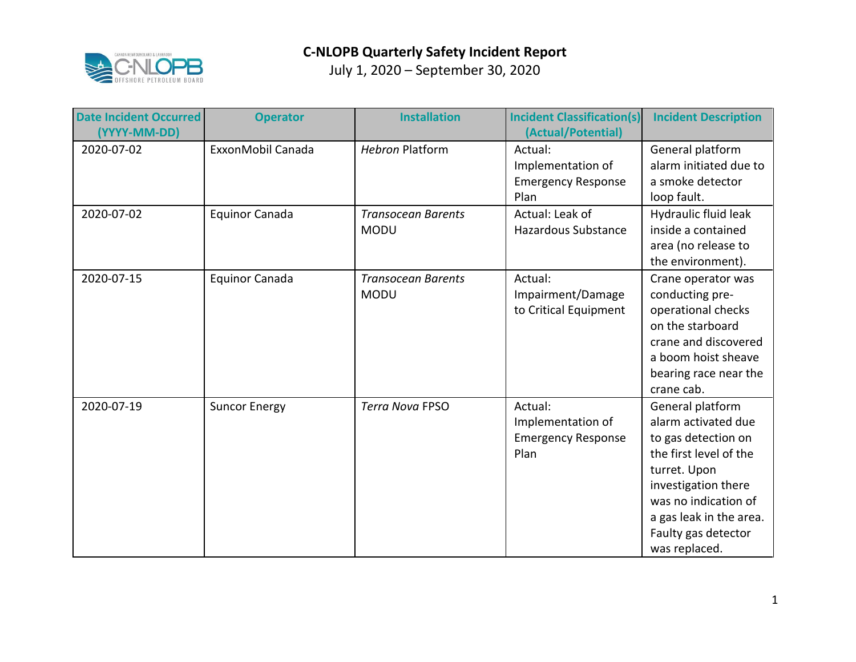

| <b>Date Incident Occurred</b><br>(YYYY-MM-DD) | <b>Operator</b>       | <b>Installation</b>                      | <b>Incident Classification(s)</b><br>(Actual/Potential)           | <b>Incident Description</b>                                                                                                                                                                                                |
|-----------------------------------------------|-----------------------|------------------------------------------|-------------------------------------------------------------------|----------------------------------------------------------------------------------------------------------------------------------------------------------------------------------------------------------------------------|
| 2020-07-02                                    | ExxonMobil Canada     | <b>Hebron Platform</b>                   | Actual:<br>Implementation of<br><b>Emergency Response</b><br>Plan | General platform<br>alarm initiated due to<br>a smoke detector<br>loop fault.                                                                                                                                              |
| 2020-07-02                                    | <b>Equinor Canada</b> | <b>Transocean Barents</b><br><b>MODU</b> | Actual: Leak of<br>Hazardous Substance                            | Hydraulic fluid leak<br>inside a contained<br>area (no release to<br>the environment).                                                                                                                                     |
| 2020-07-15                                    | Equinor Canada        | <b>Transocean Barents</b><br><b>MODU</b> | Actual:<br>Impairment/Damage<br>to Critical Equipment             | Crane operator was<br>conducting pre-<br>operational checks<br>on the starboard<br>crane and discovered<br>a boom hoist sheave<br>bearing race near the<br>crane cab.                                                      |
| 2020-07-19                                    | <b>Suncor Energy</b>  | <b>Terra Nova FPSO</b>                   | Actual:<br>Implementation of<br><b>Emergency Response</b><br>Plan | General platform<br>alarm activated due<br>to gas detection on<br>the first level of the<br>turret. Upon<br>investigation there<br>was no indication of<br>a gas leak in the area.<br>Faulty gas detector<br>was replaced. |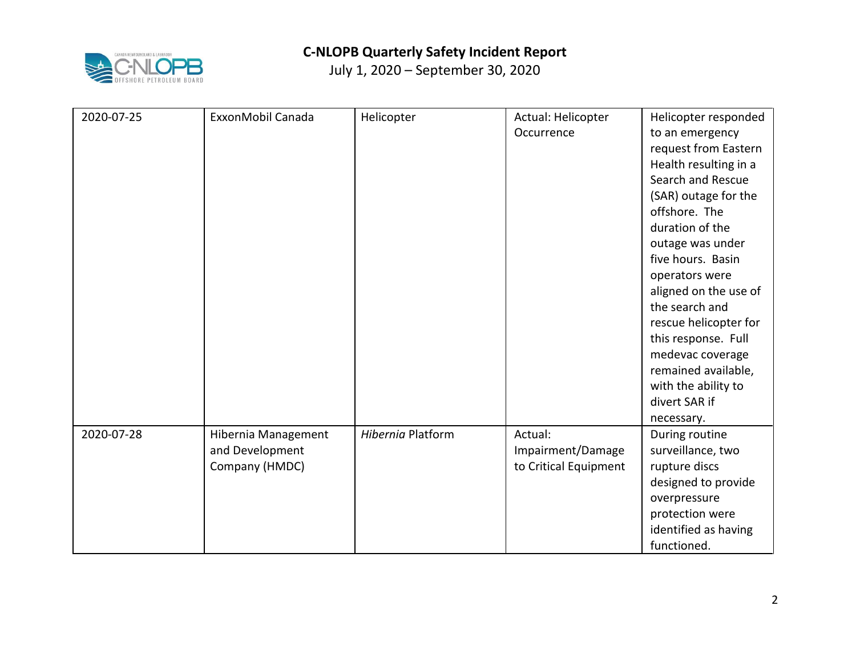

| 2020-07-25 | ExxonMobil Canada                                        | Helicopter        | Actual: Helicopter<br>Occurrence                      | Helicopter responded<br>to an emergency<br>request from Eastern<br>Health resulting in a<br>Search and Rescue<br>(SAR) outage for the<br>offshore. The<br>duration of the<br>outage was under<br>five hours. Basin<br>operators were<br>aligned on the use of<br>the search and<br>rescue helicopter for<br>this response. Full<br>medevac coverage<br>remained available,<br>with the ability to<br>divert SAR if |
|------------|----------------------------------------------------------|-------------------|-------------------------------------------------------|--------------------------------------------------------------------------------------------------------------------------------------------------------------------------------------------------------------------------------------------------------------------------------------------------------------------------------------------------------------------------------------------------------------------|
|            |                                                          |                   |                                                       | necessary.                                                                                                                                                                                                                                                                                                                                                                                                         |
| 2020-07-28 | Hibernia Management<br>and Development<br>Company (HMDC) | Hibernia Platform | Actual:<br>Impairment/Damage<br>to Critical Equipment | During routine<br>surveillance, two<br>rupture discs<br>designed to provide<br>overpressure<br>protection were<br>identified as having<br>functioned.                                                                                                                                                                                                                                                              |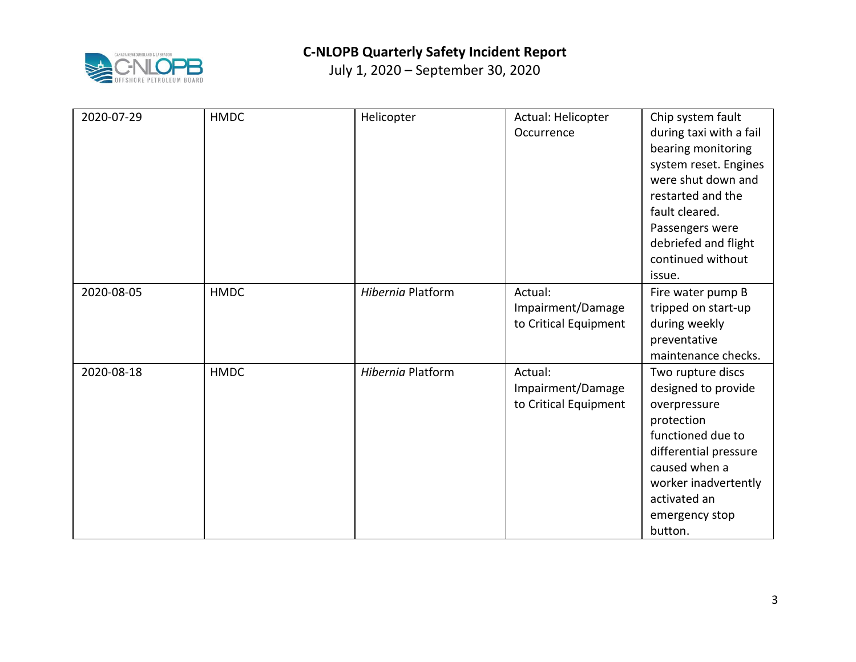

| 2020-07-29 | <b>HMDC</b> | Helicopter        | Actual: Helicopter<br>Occurrence                      | Chip system fault<br>during taxi with a fail<br>bearing monitoring<br>system reset. Engines<br>were shut down and<br>restarted and the<br>fault cleared.<br>Passengers were<br>debriefed and flight<br>continued without<br>issue. |
|------------|-------------|-------------------|-------------------------------------------------------|------------------------------------------------------------------------------------------------------------------------------------------------------------------------------------------------------------------------------------|
| 2020-08-05 | <b>HMDC</b> | Hibernia Platform | Actual:<br>Impairment/Damage<br>to Critical Equipment | Fire water pump B<br>tripped on start-up<br>during weekly<br>preventative<br>maintenance checks.                                                                                                                                   |
| 2020-08-18 | <b>HMDC</b> | Hibernia Platform | Actual:<br>Impairment/Damage<br>to Critical Equipment | Two rupture discs<br>designed to provide<br>overpressure<br>protection<br>functioned due to<br>differential pressure<br>caused when a<br>worker inadvertently<br>activated an<br>emergency stop<br>button.                         |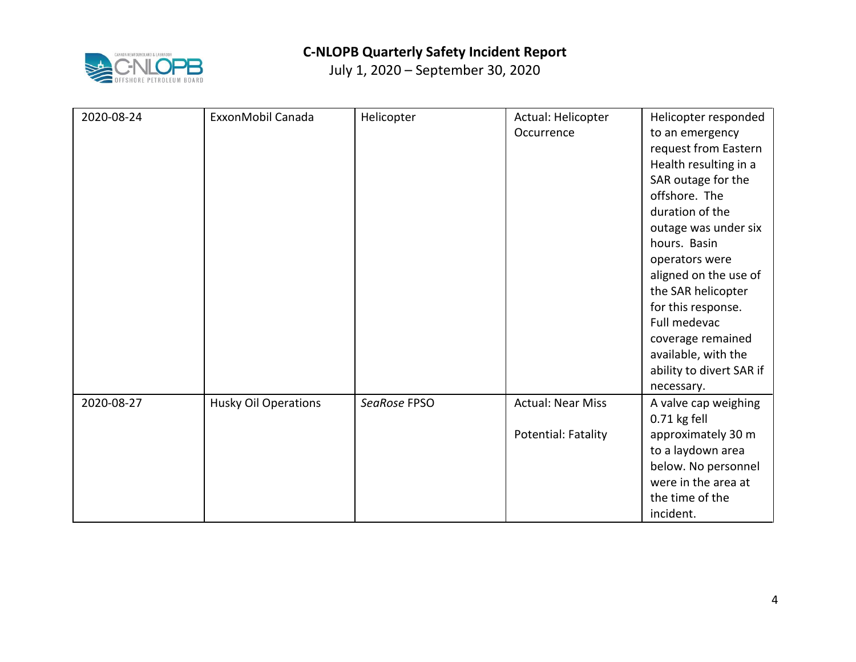

| 2020-08-24 | ExxonMobil Canada           | Helicopter   | Actual: Helicopter<br>Occurrence | Helicopter responded<br>to an emergency<br>request from Eastern<br>Health resulting in a<br>SAR outage for the<br>offshore. The<br>duration of the<br>outage was under six<br>hours. Basin<br>operators were<br>aligned on the use of<br>the SAR helicopter<br>for this response.<br>Full medevac<br>coverage remained<br>available, with the<br>ability to divert SAR if |
|------------|-----------------------------|--------------|----------------------------------|---------------------------------------------------------------------------------------------------------------------------------------------------------------------------------------------------------------------------------------------------------------------------------------------------------------------------------------------------------------------------|
|            |                             |              |                                  | necessary.                                                                                                                                                                                                                                                                                                                                                                |
| 2020-08-27 | <b>Husky Oil Operations</b> | SeaRose FPSO | <b>Actual: Near Miss</b>         | A valve cap weighing<br>0.71 kg fell                                                                                                                                                                                                                                                                                                                                      |
|            |                             |              | Potential: Fatality              | approximately 30 m<br>to a laydown area<br>below. No personnel<br>were in the area at<br>the time of the<br>incident.                                                                                                                                                                                                                                                     |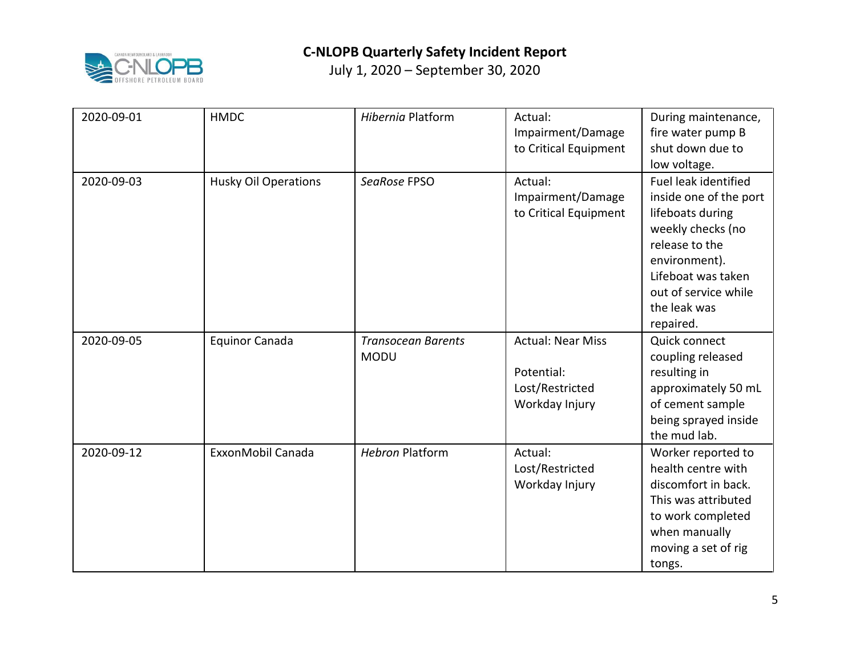

| 2020-09-01 | <b>HMDC</b>                 | Hibernia Platform                        | Actual:<br>Impairment/Damage<br>to Critical Equipment                       | During maintenance,<br>fire water pump B<br>shut down due to<br>low voltage.                                                                                                                          |
|------------|-----------------------------|------------------------------------------|-----------------------------------------------------------------------------|-------------------------------------------------------------------------------------------------------------------------------------------------------------------------------------------------------|
| 2020-09-03 | <b>Husky Oil Operations</b> | SeaRose FPSO                             | Actual:<br>Impairment/Damage<br>to Critical Equipment                       | Fuel leak identified<br>inside one of the port<br>lifeboats during<br>weekly checks (no<br>release to the<br>environment).<br>Lifeboat was taken<br>out of service while<br>the leak was<br>repaired. |
| 2020-09-05 | <b>Equinor Canada</b>       | <b>Transocean Barents</b><br><b>MODU</b> | <b>Actual: Near Miss</b><br>Potential:<br>Lost/Restricted<br>Workday Injury | Quick connect<br>coupling released<br>resulting in<br>approximately 50 mL<br>of cement sample<br>being sprayed inside<br>the mud lab.                                                                 |
| 2020-09-12 | ExxonMobil Canada           | <b>Hebron Platform</b>                   | Actual:<br>Lost/Restricted<br>Workday Injury                                | Worker reported to<br>health centre with<br>discomfort in back.<br>This was attributed<br>to work completed<br>when manually<br>moving a set of rig<br>tongs.                                         |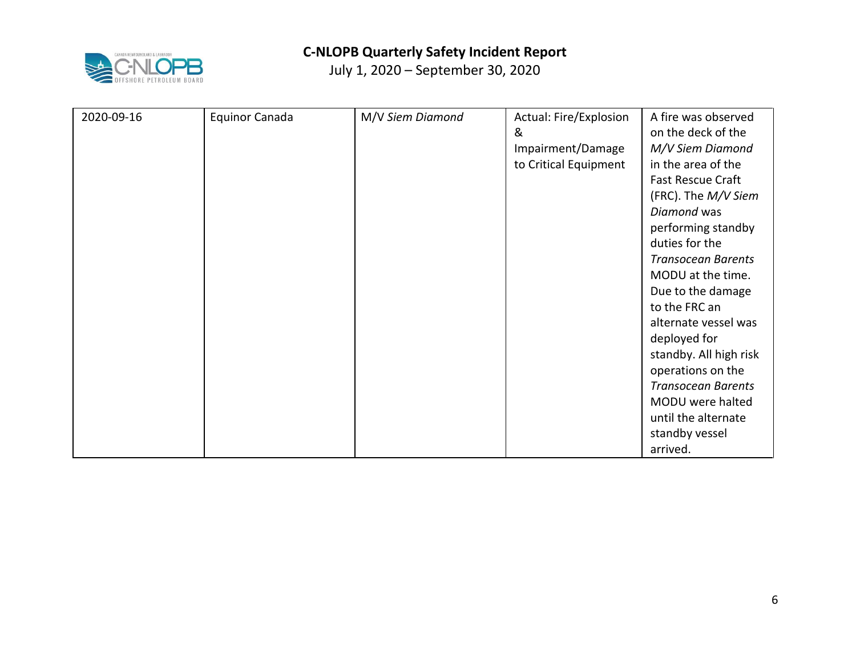

| 2020-09-16 | <b>Equinor Canada</b> | M/V Siem Diamond | Actual: Fire/Explosion | A fire was observed       |
|------------|-----------------------|------------------|------------------------|---------------------------|
|            |                       |                  | &                      | on the deck of the        |
|            |                       |                  | Impairment/Damage      | M/V Siem Diamond          |
|            |                       |                  | to Critical Equipment  | in the area of the        |
|            |                       |                  |                        | <b>Fast Rescue Craft</b>  |
|            |                       |                  |                        | (FRC). The M/V Siem       |
|            |                       |                  |                        | Diamond was               |
|            |                       |                  |                        | performing standby        |
|            |                       |                  |                        | duties for the            |
|            |                       |                  |                        | <b>Transocean Barents</b> |
|            |                       |                  |                        | MODU at the time.         |
|            |                       |                  |                        | Due to the damage         |
|            |                       |                  |                        | to the FRC an             |
|            |                       |                  |                        | alternate vessel was      |
|            |                       |                  |                        | deployed for              |
|            |                       |                  |                        | standby. All high risk    |
|            |                       |                  |                        | operations on the         |
|            |                       |                  |                        | <b>Transocean Barents</b> |
|            |                       |                  |                        | MODU were halted          |
|            |                       |                  |                        | until the alternate       |
|            |                       |                  |                        | standby vessel            |
|            |                       |                  |                        | arrived.                  |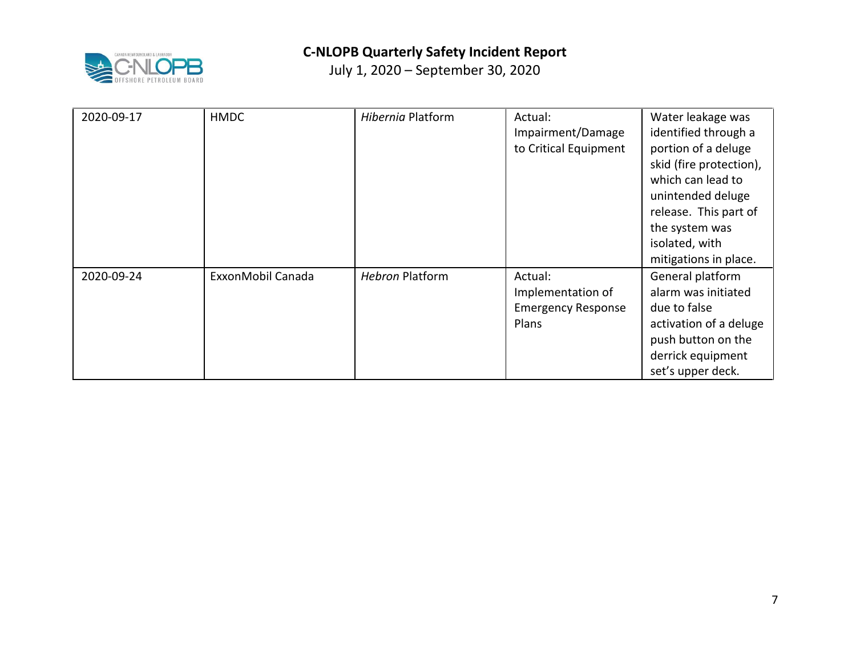

| 2020-09-17 | <b>HMDC</b>       | Hibernia Platform      | Actual:<br>Impairment/Damage<br>to Critical Equipment              | Water leakage was<br>identified through a<br>portion of a deluge<br>skid (fire protection),<br>which can lead to<br>unintended deluge<br>release. This part of<br>the system was<br>isolated, with<br>mitigations in place. |
|------------|-------------------|------------------------|--------------------------------------------------------------------|-----------------------------------------------------------------------------------------------------------------------------------------------------------------------------------------------------------------------------|
| 2020-09-24 | ExxonMobil Canada | <b>Hebron Platform</b> | Actual:<br>Implementation of<br><b>Emergency Response</b><br>Plans | General platform<br>alarm was initiated<br>due to false<br>activation of a deluge<br>push button on the<br>derrick equipment<br>set's upper deck.                                                                           |